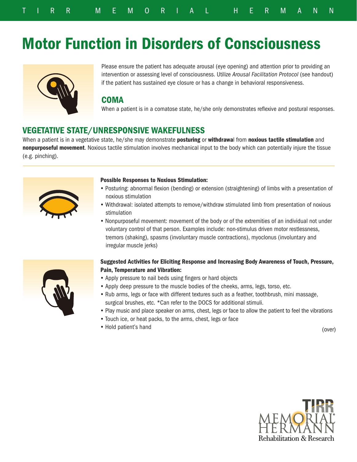# Motor Function in Disorders of Consciousness



Please ensure the patient has adequate arousal (eye opening) and attention prior to providing an intervention or assessing level of consciousness. Utilize *Arousal Facilitation Protocol* (see handout) if the patient has sustained eye closure or has a change in behavioral responsiveness.

## **COMA**

When a patient is in a comatose state, he/she only demonstrates reflexive and postural responses.

# VEGETATIVE STATE/UNRESPONSIVE WAKEFULNESS

When a patient is in a vegetative state, he/she may demonstrate posturing or withdrawal from noxious tactile stimulation and nonpurposeful movement. Noxious tactile stimulation involves mechanical input to the body which can potentially injure the tissue (e.g. pinching).



#### Possible Responses to Noxious Stimulation:

- Posturing: abnormal flexion (bending) or extension (straightening) of limbs with a presentation of noxious stimulation
- Withdrawal: isolated attempts to remove/withdraw stimulated limb from presentation of noxious stimulation
- Nonpurposeful movement: movement of the body or of the extremities of an individual not under voluntary control of that person. Examples include: non-stimulus driven motor restlessness, tremors (shaking), spasms (involuntary muscle contractions), myoclonus (involuntary and irregular muscle jerks)

### Suggested Activities for Eliciting Response and Increasing Body Awareness of Touch, Pressure, Pain, Temperature and Vibration:

- Apply pressure to nail beds using fingers or hard objects
- Apply deep pressure to the muscle bodies of the cheeks, arms, legs, torso, etc.
- Rub arms, legs or face with different textures such as a feather, toothbrush, mini massage, surgical brushes, etc. \*Can refer to the DOCS for additional stimuli.
- Play music and place speaker on arms, chest, legs or face to allow the patient to feel the vibrations
- Touch ice, or heat packs, to the arms, chest, legs or face
- Hold patient's hand

(over)



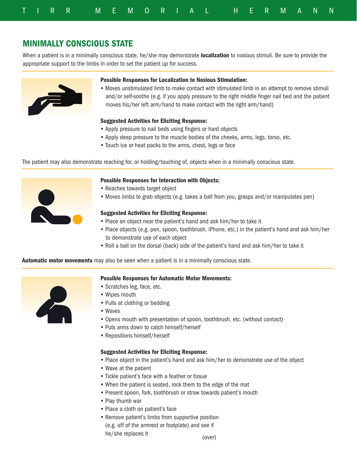|  |  | TIRR MEMORIAL HERMANN |  |  |  |  |  |  |  |  |
|--|--|-----------------------|--|--|--|--|--|--|--|--|

## MINIMALLY CONSCIOUS STATE

When a patient is in a minimally conscious state, he/she may demonstrate localization to noxious stimuli. Be sure to provide the appropriate support to the limbs in order to set the patient up for success.



#### Possible Responses for Localization to Noxious Stimulation:

• Moves unstimulated limb to make contact with stimulated limb in an attempt to remove stimuli and/or self-soothe (e.g. if you apply pressure to the right middle finger nail bed and the patient moves his/her left arm/hand to make contact with the right arm/hand)

#### Suggested Activities for Eliciting Response:

- Apply pressure to nail beds using fingers or hard objects
- Apply deep pressure to the muscle bodies of the cheeks, arms, legs, torso, etc.
- Touch ice or heat packs to the arms, chest, legs or face

The patient may also demonstrate reaching for, or holding/touching of, objects when in a minimally conscious state.



#### Possible Responses for Interaction with Objects:

- Reaches towards target object
- Moves limbs to grab objects (e.g. takes a ball from you, grasps and/or manipulates pen)

#### Suggested Activities for Eliciting Response:

- Place an object near the patient's hand and ask him/her to take it
- Place objects (e.g. pen, spoon, toothbrush, iPhone, etc.) in the patient's hand and ask him/her to demonstrate use of each object
- Roll a ball on the dorsal (back) side of the patient's hand and ask him/her to take it

Automatic motor movements may also be seen when a patient is in a minimally conscious state.



#### Possible Responses for Automatic Motor Movements:

- Scratches leg, face, etc.
- Wipes mouth
- Pulls at clothing or bedding
- Waves
- Opens mouth with presentation of spoon, toothbrush, etc. (without contact)
- Puts arms down to catch himself/herself
- Repositions himself/herself

#### Suggested Activities for Eliciting Response:

- Place object in the patient's hand and ask him/her to demonstrate use of the object
- Wave at the patient
- Tickle patient's face with a feather or tissue
- When the patient is seated, rock them to the edge of the mat
- Present spoon, fork, toothbrush or straw towards patient's mouth
- Play thumb war
- Place a cloth on patient's face
- Remove patient's limbs from supportive position (e.g. off of the armrest or footplate) and see if he/she replaces it

(over)